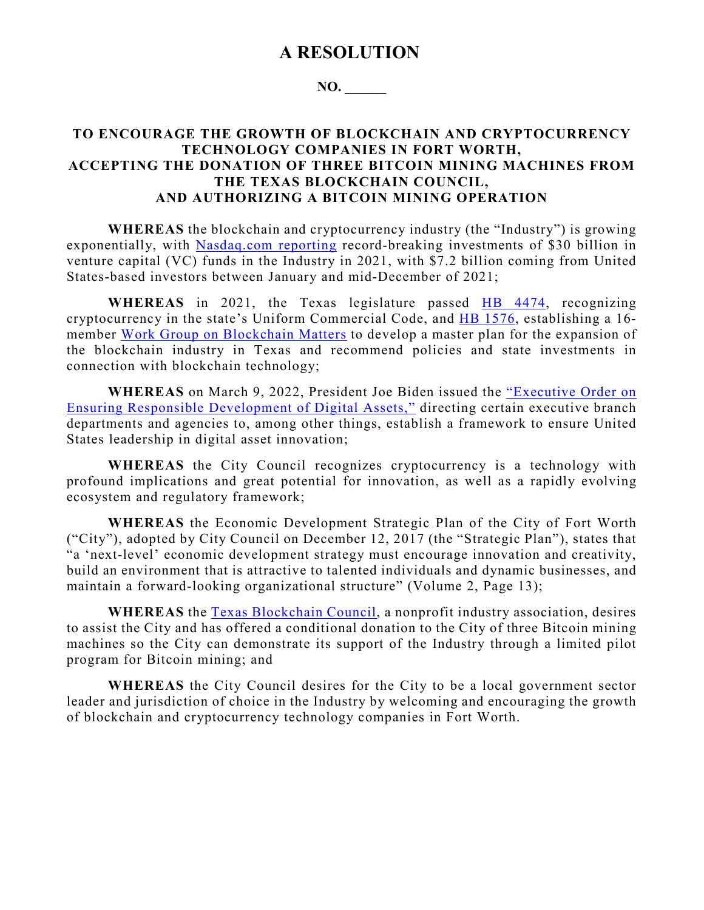## **A RESOLUTION**

## **NO. \_\_\_\_\_\_**

## **TO ENCOURAGE THE GROWTH OF BLOCKCHAIN AND CRYPTOCURRENCY TECHNOLOGY COMPANIES IN FORT WORTH, ACCEPTING THE DONATION OF THREE BITCOIN MINING MACHINES FROM THE TEXAS BLOCKCHAIN COUNCIL, AND AUTHORIZING A BITCOIN MINING OPERATION**

**WHEREAS** the blockchain and cryptocurrency industry (the "Industry") is growing exponentially, with [Nasdaq.com reporting](https://www.nasdaq.com/articles/2021-saw-more-funds-pour-into-crypto-than-all-past-years-combined) record-breaking investments of \$30 billion in venture capital (VC) funds in the Industry in 2021, with \$7.2 billion coming from United States-based investors between January and mid-December of 2021;

WHEREAS in 2021, the Texas legislature passed **HB 4474**, recognizing cryptocurrency in the state's Uniform Commercial Code, and [HB 1576,](chrome-extension://efaidnbmnnnibpcajpcglclefindmkaj/viewer.html?pdfurl=https%3A%2F%2Fcapitol.texas.gov%2Ftlodocs%2F87R%2Fbilltext%2Fpdf%2FHB01576F.pdf%23navpanes%3D0&clen=116641&chunk=true) establishing a 16 member [Work Group on Blockchain Matters](https://gov.texas.gov/news/post/governor-abbott-appoints-four-to-work-group-on-blockchain-matters) to develop a master plan for the expansion of the blockchain industry in Texas and recommend policies and state investments in connection with blockchain technology;

**WHEREAS** on March 9, 2022, President Joe Biden issued the ["Executive Order on](https://www.whitehouse.gov/briefing-room/presidential-actions/2022/03/09/executive-order-on-ensuring-responsible-development-of-digital-assets/)  [Ensuring Responsible Development of Digital Assets,"](https://www.whitehouse.gov/briefing-room/presidential-actions/2022/03/09/executive-order-on-ensuring-responsible-development-of-digital-assets/) directing certain executive branch departments and agencies to, among other things, establish a framework to ensure United States leadership in digital asset innovation;

**WHEREAS** the City Council recognizes cryptocurrency is a technology with profound implications and great potential for innovation, as well as a rapidly evolving ecosystem and regulatory framework;

**WHEREAS** the Economic Development Strategic Plan of the City of Fort Worth ("City"), adopted by City Council on December 12, 2017 (the "Strategic Plan"), states that "a 'next-level' economic development strategy must encourage innovation and creativity, build an environment that is attractive to talented individuals and dynamic businesses, and maintain a forward-looking organizational structure" (Volume 2, Page 13);

**WHEREAS** the [Texas Blockchain Council,](https://texasblockchaincouncil.org/about) a nonprofit industry association, desires to assist the City and has offered a conditional donation to the City of three Bitcoin mining machines so the City can demonstrate its support of the Industry through a limited pilot program for Bitcoin mining; and

**WHEREAS** the City Council desires for the City to be a local government sector leader and jurisdiction of choice in the Industry by welcoming and encouraging the growth of blockchain and cryptocurrency technology companies in Fort Worth.